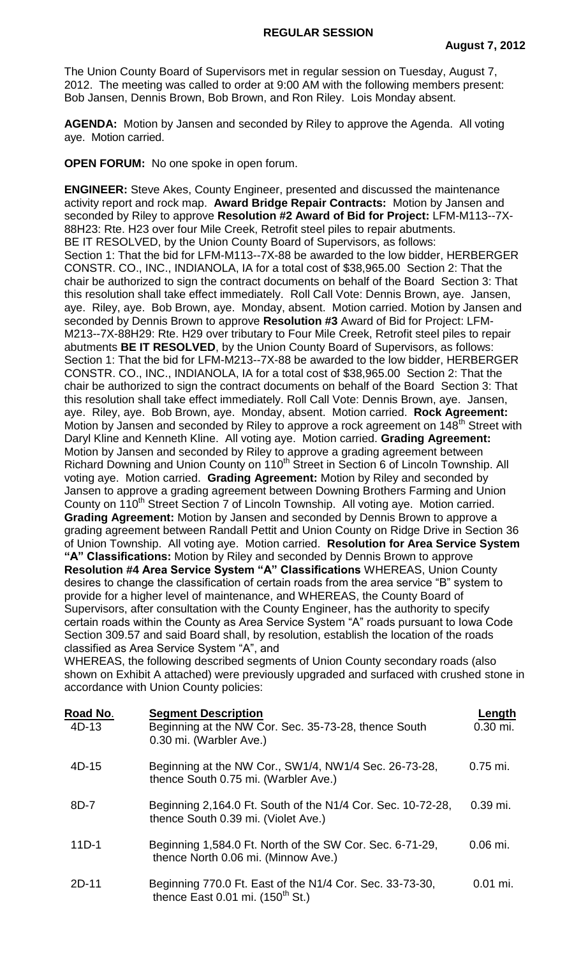The Union County Board of Supervisors met in regular session on Tuesday, August 7, 2012. The meeting was called to order at 9:00 AM with the following members present: Bob Jansen, Dennis Brown, Bob Brown, and Ron Riley. Lois Monday absent.

**AGENDA:** Motion by Jansen and seconded by Riley to approve the Agenda. All voting aye. Motion carried.

**OPEN FORUM:** No one spoke in open forum.

**ENGINEER:** Steve Akes, County Engineer, presented and discussed the maintenance activity report and rock map. **Award Bridge Repair Contracts:** Motion by Jansen and seconded by Riley to approve **Resolution #2 Award of Bid for Project:** LFM-M113--7X-88H23: Rte. H23 over four Mile Creek, Retrofit steel piles to repair abutments. BE IT RESOLVED, by the Union County Board of Supervisors, as follows: Section 1: That the bid for LFM-M113--7X-88 be awarded to the low bidder, HERBERGER CONSTR. CO., INC., INDIANOLA, IA for a total cost of \$38,965.00 Section 2: That the chair be authorized to sign the contract documents on behalf of the Board Section 3: That this resolution shall take effect immediately. Roll Call Vote: Dennis Brown, aye. Jansen, aye. Riley, aye. Bob Brown, aye. Monday, absent. Motion carried. Motion by Jansen and seconded by Dennis Brown to approve **Resolution #3** Award of Bid for Project: LFM-M213--7X-88H29: Rte. H29 over tributary to Four Mile Creek, Retrofit steel piles to repair abutments **BE IT RESOLVED**, by the Union County Board of Supervisors, as follows: Section 1: That the bid for LFM-M213--7X-88 be awarded to the low bidder, HERBERGER CONSTR. CO., INC., INDIANOLA, IA for a total cost of \$38,965.00 Section 2: That the chair be authorized to sign the contract documents on behalf of the Board Section 3: That this resolution shall take effect immediately. Roll Call Vote: Dennis Brown, aye. Jansen, aye. Riley, aye. Bob Brown, aye. Monday, absent. Motion carried. **Rock Agreement:**  Motion by Jansen and seconded by Riley to approve a rock agreement on 148<sup>th</sup> Street with Daryl Kline and Kenneth Kline. All voting aye. Motion carried. **Grading Agreement:**  Motion by Jansen and seconded by Riley to approve a grading agreement between Richard Downing and Union County on 110<sup>th</sup> Street in Section 6 of Lincoln Township. All voting aye. Motion carried. **Grading Agreement:** Motion by Riley and seconded by Jansen to approve a grading agreement between Downing Brothers Farming and Union County on 110<sup>th</sup> Street Section 7 of Lincoln Township. All voting aye. Motion carried. **Grading Agreement:** Motion by Jansen and seconded by Dennis Brown to approve a grading agreement between Randall Pettit and Union County on Ridge Drive in Section 36 of Union Township. All voting aye. Motion carried. **Resolution for Area Service System "A" Classifications:** Motion by Riley and seconded by Dennis Brown to approve **Resolution #4 Area Service System "A" Classifications** WHEREAS, Union County desires to change the classification of certain roads from the area service "B" system to provide for a higher level of maintenance, and WHEREAS, the County Board of Supervisors, after consultation with the County Engineer, has the authority to specify certain roads within the County as Area Service System "A" roads pursuant to Iowa Code Section 309.57 and said Board shall, by resolution, establish the location of the roads classified as Area Service System "A", and

WHEREAS, the following described segments of Union County secondary roads (also shown on Exhibit A attached) were previously upgraded and surfaced with crushed stone in accordance with Union County policies:

| Road No. | <b>Segment Description</b>                                                                               | Length     |
|----------|----------------------------------------------------------------------------------------------------------|------------|
| $4D-13$  | Beginning at the NW Cor. Sec. 35-73-28, thence South<br>0.30 mi. (Warbler Ave.)                          | $0.30$ mi. |
| $4D-15$  | Beginning at the NW Cor., SW1/4, NW1/4 Sec. 26-73-28,<br>thence South 0.75 mi. (Warbler Ave.)            | $0.75$ mi. |
| 8D-7     | Beginning 2,164.0 Ft. South of the N1/4 Cor. Sec. 10-72-28,<br>thence South 0.39 mi. (Violet Ave.)       | $0.39$ mi. |
| $11D-1$  | Beginning 1,584.0 Ft. North of the SW Cor. Sec. 6-71-29,<br>thence North 0.06 mi. (Minnow Ave.)          | $0.06$ mi. |
| $2D-11$  | Beginning 770.0 Ft. East of the N1/4 Cor. Sec. 33-73-30,<br>thence East 0.01 mi. (150 <sup>th</sup> St.) | $0.01$ mi. |